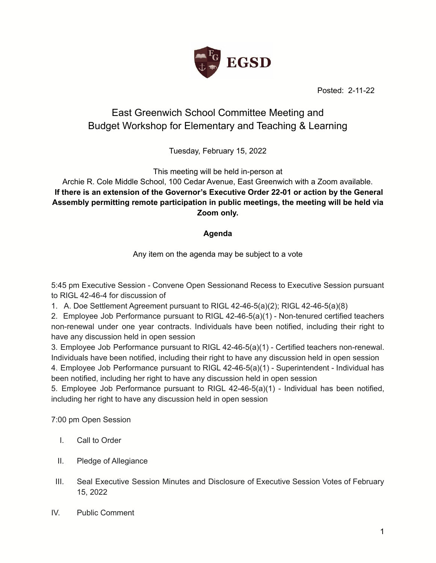

Posted: 2-11-22

## East Greenwich School Committee Meeting and Budget Workshop for Elementary and Teaching & Learning

Tuesday, February 15, 2022

This meeting will be held in-person at

## Archie R. Cole Middle School, 100 Cedar Avenue, East Greenwich with a Zoom available. **If there is an extension of the Governor's Executive Order 22-01 or action by the General Assembly permitting remote participation in public meetings, the meeting will be held via Zoom only.**

## **Agenda**

Any item on the agenda may be subject to a vote

5:45 pm Executive Session - Convene Open Sessionand Recess to Executive Session pursuant to RIGL 42-46-4 for discussion of

1. A. Doe Settlement Agreement pursuant to RIGL 42-46-5(a)(2); RIGL 42-46-5(a)(8)

2. Employee Job Performance pursuant to RIGL 42-46-5(a)(1) - Non-tenured certified teachers non-renewal under one year contracts. Individuals have been notified, including their right to have any discussion held in open session

3. Employee Job Performance pursuant to RIGL 42-46-5(a)(1) - Certified teachers non-renewal. Individuals have been notified, including their right to have any discussion held in open session

4. Employee Job Performance pursuant to RIGL 42-46-5(a)(1) - Superintendent - Individual has been notified, including her right to have any discussion held in open session

5. Employee Job Performance pursuant to RIGL 42-46-5(a)(1) - Individual has been notified, including her right to have any discussion held in open session

7:00 pm Open Session

- I. Call to Order
- II. Pledge of Allegiance
- III. Seal Executive Session Minutes and Disclosure of Executive Session Votes of February 15, 2022
- IV. Public Comment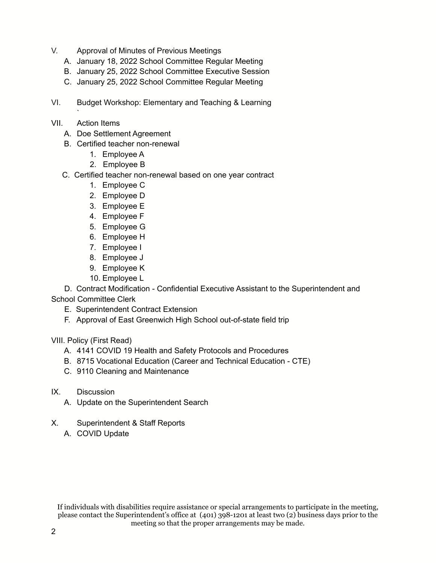- V. Approval of Minutes of Previous Meetings
	- A. January 18, 2022 School Committee Regular Meeting
	- B. January 25, 2022 School Committee Executive Session
	- C. January 25, 2022 School Committee Regular Meeting
- VI. Budget Workshop: Elementary and Teaching & Learning
- VII. Action Items

`

- A. Doe Settlement Agreement
- B. Certified teacher non-renewal
	- 1. Employee A
	- 2. Employee B
- C. Certified teacher non-renewal based on one year contract
	- 1. Employee C
	- 2. Employee D
	- 3. Employee E
	- 4. Employee F
	- 5. Employee G
	- 6. Employee H
	- 7. Employee I
	- 8. Employee J
	- 9. Employee K
	- 10. Employee L

D. Contract Modification - Confidential Executive Assistant to the Superintendent and School Committee Clerk

- E. Superintendent Contract Extension
- F. Approval of East Greenwich High School out-of-state field trip

VIII. Policy (First Read)

- A. 4141 COVID 19 Health and Safety Protocols and Procedures
- B. 8715 Vocational Education (Career and Technical Education CTE)
- C. 9110 Cleaning and Maintenance
- IX. Discussion
	- A. Update on the Superintendent Search
- X. Superintendent & Staff Reports
	- A. COVID Update